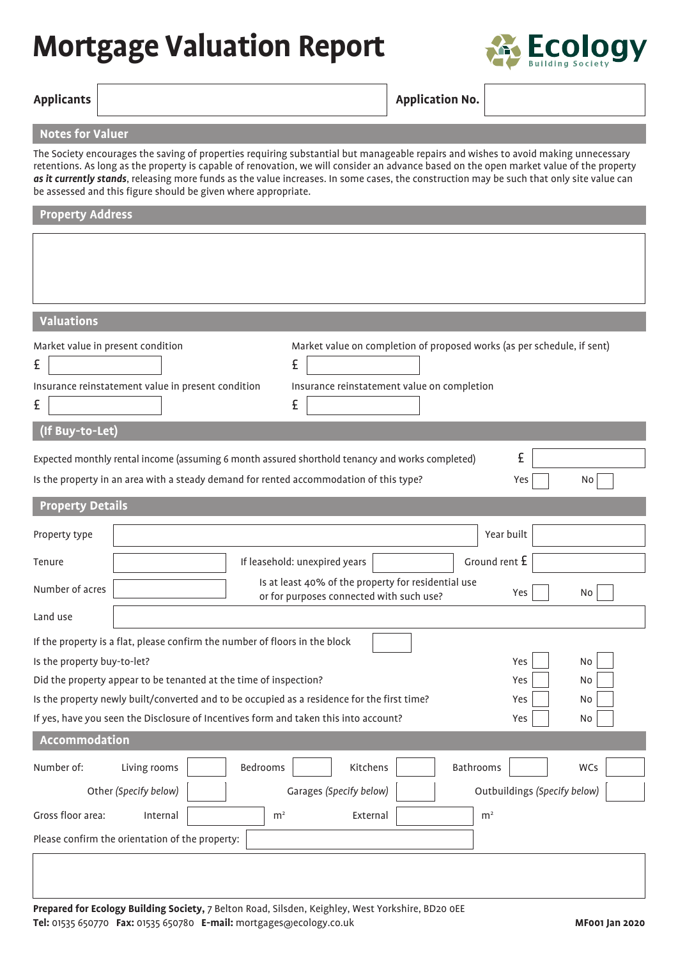## **Mortgage Valuation Report**



|  | Applicants |
|--|------------|
|--|------------|

## **Application No.**

## **Notes for Valuer**

The Society encourages the saving of properties requiring substantial but manageable repairs and wishes to avoid making unnecessary retentions. As long as the property is capable of renovation, we will consider an advance based on the open market value of the property *as it currently stands*, releasing more funds as the value increases. In some cases, the construction may be such that only site value can be assessed and this figure should be given where appropriate.

| <b>Property Address</b>                                                                                                                                                                                                                                                                                                                                                                                                                              |  |  |  |  |  |
|------------------------------------------------------------------------------------------------------------------------------------------------------------------------------------------------------------------------------------------------------------------------------------------------------------------------------------------------------------------------------------------------------------------------------------------------------|--|--|--|--|--|
|                                                                                                                                                                                                                                                                                                                                                                                                                                                      |  |  |  |  |  |
| <b>Valuations</b>                                                                                                                                                                                                                                                                                                                                                                                                                                    |  |  |  |  |  |
| Market value in present condition<br>Market value on completion of proposed works (as per schedule, if sent)<br>£<br>£<br>Insurance reinstatement value in present condition<br>Insurance reinstatement value on completion<br>£<br>£                                                                                                                                                                                                                |  |  |  |  |  |
| (If Buy-to-Let)                                                                                                                                                                                                                                                                                                                                                                                                                                      |  |  |  |  |  |
| £<br>Expected monthly rental income (assuming 6 month assured shorthold tenancy and works completed)                                                                                                                                                                                                                                                                                                                                                 |  |  |  |  |  |
| Is the property in an area with a steady demand for rented accommodation of this type?<br>No<br>Yes                                                                                                                                                                                                                                                                                                                                                  |  |  |  |  |  |
| <b>Property Details</b>                                                                                                                                                                                                                                                                                                                                                                                                                              |  |  |  |  |  |
| Year built<br>Property type                                                                                                                                                                                                                                                                                                                                                                                                                          |  |  |  |  |  |
| Ground rent £<br>If leasehold: unexpired years<br>Tenure                                                                                                                                                                                                                                                                                                                                                                                             |  |  |  |  |  |
| Is at least 40% of the property for residential use<br>Number of acres<br>Yes<br>No<br>or for purposes connected with such use?                                                                                                                                                                                                                                                                                                                      |  |  |  |  |  |
| Land use                                                                                                                                                                                                                                                                                                                                                                                                                                             |  |  |  |  |  |
| If the property is a flat, please confirm the number of floors in the block<br>Is the property buy-to-let?<br>No<br>Yes<br>Did the property appear to be tenanted at the time of inspection?<br>No<br>Yes<br>Is the property newly built/converted and to be occupied as a residence for the first time?<br>No<br>Yes<br>If yes, have you seen the Disclosure of Incentives form and taken this into account?<br>Yes<br>$\operatorname{\mathsf{No}}$ |  |  |  |  |  |
| Accommodation                                                                                                                                                                                                                                                                                                                                                                                                                                        |  |  |  |  |  |
| Number of:<br>Living rooms<br>Bedrooms<br>Kitchens<br>Bathrooms<br>WCs<br>Other (Specify below)<br>Garages (Specify below)<br>Outbuildings (Specify below)<br>Gross floor area:<br>$\rm m^2$<br>External<br>Internal<br>m <sup>2</sup>                                                                                                                                                                                                               |  |  |  |  |  |
| Please confirm the orientation of the property:                                                                                                                                                                                                                                                                                                                                                                                                      |  |  |  |  |  |
|                                                                                                                                                                                                                                                                                                                                                                                                                                                      |  |  |  |  |  |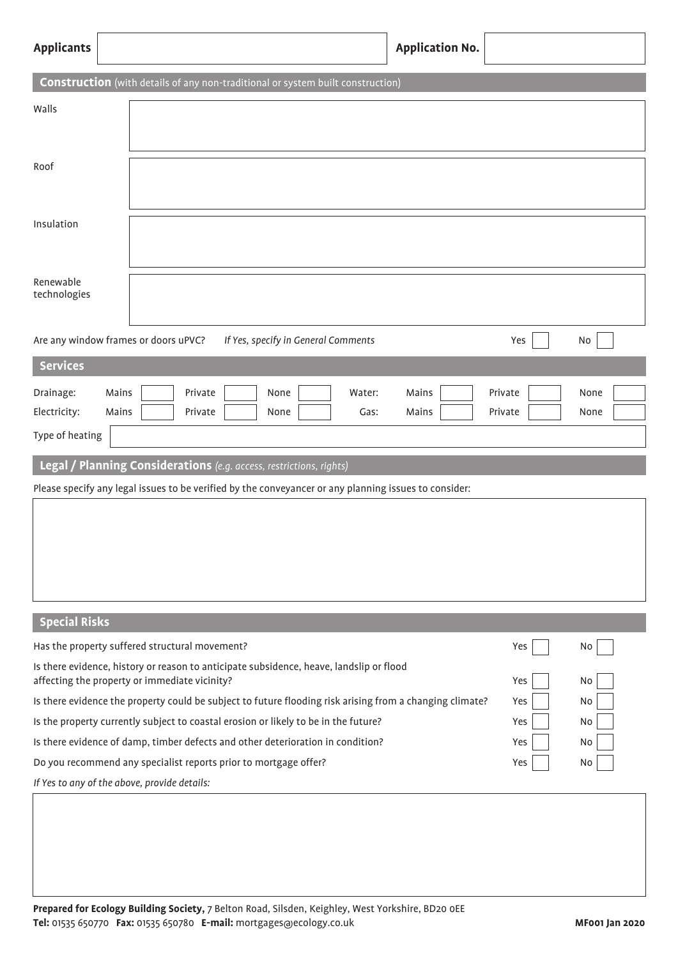| <b>Applicants</b>                                                                                                                                     |                                                                                                       | <b>Application No.</b> |                    |              |  |  |
|-------------------------------------------------------------------------------------------------------------------------------------------------------|-------------------------------------------------------------------------------------------------------|------------------------|--------------------|--------------|--|--|
|                                                                                                                                                       | <b>Construction</b> (with details of any non-traditional or system built construction)                |                        |                    |              |  |  |
| Walls                                                                                                                                                 |                                                                                                       |                        |                    |              |  |  |
| Roof                                                                                                                                                  |                                                                                                       |                        |                    |              |  |  |
| Insulation                                                                                                                                            |                                                                                                       |                        |                    |              |  |  |
| Renewable<br>technologies                                                                                                                             |                                                                                                       |                        |                    |              |  |  |
| Are any window frames or doors uPVC?                                                                                                                  | If Yes, specify in General Comments                                                                   |                        | Yes                | No           |  |  |
| <b>Services</b>                                                                                                                                       |                                                                                                       |                        |                    |              |  |  |
| Drainage:<br>Mains<br>Electricity:<br>Mains<br>Type of heating                                                                                        | Private<br>None<br>Water:<br>Private<br>None<br>Gas:                                                  | Mains<br>Mains         | Private<br>Private | None<br>None |  |  |
|                                                                                                                                                       | Legal / Planning Considerations (e.g. access, restrictions, rights)                                   |                        |                    |              |  |  |
|                                                                                                                                                       | Please specify any legal issues to be verified by the conveyancer or any planning issues to consider: |                        |                    |              |  |  |
|                                                                                                                                                       |                                                                                                       |                        |                    |              |  |  |
| <b>Special Risks</b>                                                                                                                                  |                                                                                                       |                        |                    |              |  |  |
|                                                                                                                                                       | Has the property suffered structural movement?                                                        |                        | Yes                | No           |  |  |
| Is there evidence, history or reason to anticipate subsidence, heave, landslip or flood<br>affecting the property or immediate vicinity?<br>Yes<br>No |                                                                                                       |                        |                    |              |  |  |
| Is there evidence the property could be subject to future flooding risk arising from a changing climate?<br>Yes<br>No                                 |                                                                                                       |                        |                    |              |  |  |
| Is the property currently subject to coastal erosion or likely to be in the future?<br>Yes<br>No                                                      |                                                                                                       |                        |                    |              |  |  |
| Is there evidence of damp, timber defects and other deterioration in condition?<br>Yes<br>No                                                          |                                                                                                       |                        |                    |              |  |  |
| Do you recommend any specialist reports prior to mortgage offer?<br>Yes<br>No                                                                         |                                                                                                       |                        |                    |              |  |  |
| If Yes to any of the above, provide details:                                                                                                          |                                                                                                       |                        |                    |              |  |  |
|                                                                                                                                                       |                                                                                                       |                        |                    |              |  |  |